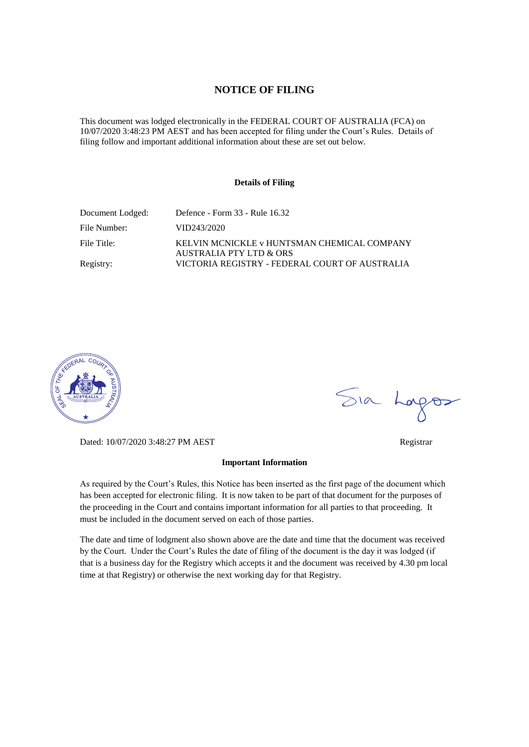#### **NOTICE OF FILING**

This document was lodged electronically in the FEDERAL COURT OF AUSTRALIA (FCA) on 10/07/2020 3:48:23 PM AEST and has been accepted for filing under the Court's Rules. Details of filing follow and important additional information about these are set out below.

#### **Details of Filing**

| Document Lodged: | Defence - Form 33 - Rule 16.32                                         |
|------------------|------------------------------------------------------------------------|
| File Number:     | VID243/2020                                                            |
| File Title:      | KELVIN MCNICKLE v HUNTSMAN CHEMICAL COMPANY<br>AUSTRALIA PTY LTD & ORS |
| Registry:        | VICTORIA REGISTRY - FEDERAL COURT OF AUSTRALIA                         |



Dated: 10/07/2020 3:48:27 PM AEST Registrar

#### **Important Information**

As required by the Court's Rules, this Notice has been inserted as the first page of the document which has been accepted for electronic filing. It is now taken to be part of that document for the purposes of the proceeding in the Court and contains important information for all parties to that proceeding. It must be included in the document served on each of those parties.

The date and time of lodgment also shown above are the date and time that the document was received by the Court. Under the Court's Rules the date of filing of the document is the day it was lodged (if that is a business day for the Registry which accepts it and the document was received by 4.30 pm local time at that Registry) or otherwise the next working day for that Registry.

Sia Logos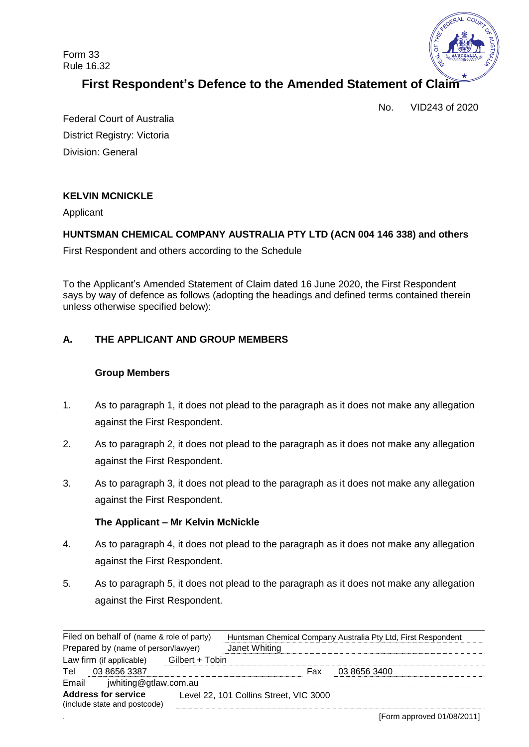Form 33 Rule 16.32



# **First Respondent's Defence to the Amended Statement of Claim**

No. VID243 of 2020

Federal Court of Australia District Registry: Victoria Division: General

# **KELVIN MCNICKLE**

Applicant

# **HUNTSMAN CHEMICAL COMPANY AUSTRALIA PTY LTD (ACN 004 146 338) and others**

First Respondent and others according to the Schedule

To the Applicant's Amended Statement of Claim dated 16 June 2020, the First Respondent says by way of defence as follows (adopting the headings and defined terms contained therein unless otherwise specified below):

# **A. THE APPLICANT AND GROUP MEMBERS**

#### **Group Members**

- 1. As to paragraph 1, it does not plead to the paragraph as it does not make any allegation against the First Respondent.
- 2. As to paragraph 2, it does not plead to the paragraph as it does not make any allegation against the First Respondent.
- 3. As to paragraph 3, it does not plead to the paragraph as it does not make any allegation against the First Respondent.

### **The Applicant – Mr Kelvin McNickle**

- 4. As to paragraph 4, it does not plead to the paragraph as it does not make any allegation against the First Respondent.
- 5. As to paragraph 5, it does not plead to the paragraph as it does not make any allegation against the First Respondent.

| Filed on behalf of (name & role of party)                  |                 | Huntsman Chemical Company Australia Pty Ltd, First Respondent |     |              |  |
|------------------------------------------------------------|-----------------|---------------------------------------------------------------|-----|--------------|--|
| Prepared by (name of person/lawyer)                        |                 | Janet Whiting                                                 |     |              |  |
| Law firm (if applicable)                                   | Gilbert + Tobin |                                                               |     |              |  |
| Tel<br>03 8656 3387                                        |                 |                                                               | Fax | 03 8656 3400 |  |
| jwhiting@gtlaw.com.au<br>Email                             |                 |                                                               |     |              |  |
| <b>Address for service</b><br>(include state and postcode) |                 | Level 22, 101 Collins Street, VIC 3000                        |     |              |  |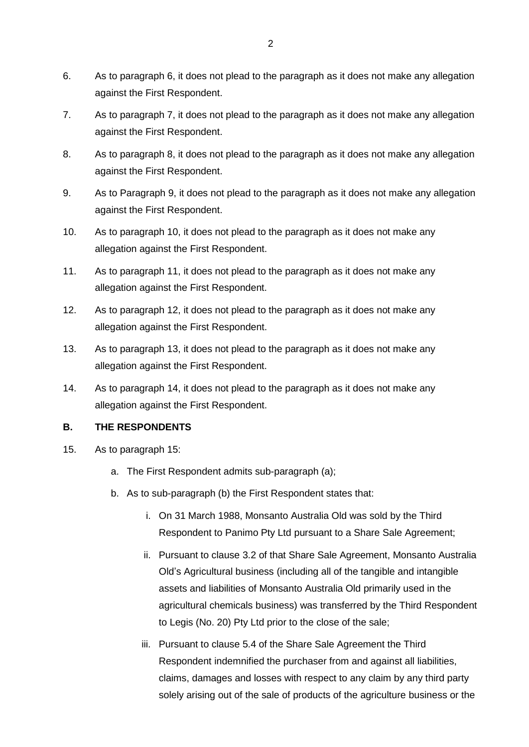- 6. As to paragraph 6, it does not plead to the paragraph as it does not make any allegation against the First Respondent.
- 7. As to paragraph 7, it does not plead to the paragraph as it does not make any allegation against the First Respondent.
- 8. As to paragraph 8, it does not plead to the paragraph as it does not make any allegation against the First Respondent.
- 9. As to Paragraph 9, it does not plead to the paragraph as it does not make any allegation against the First Respondent.
- 10. As to paragraph 10, it does not plead to the paragraph as it does not make any allegation against the First Respondent.
- 11. As to paragraph 11, it does not plead to the paragraph as it does not make any allegation against the First Respondent.
- 12. As to paragraph 12, it does not plead to the paragraph as it does not make any allegation against the First Respondent.
- 13. As to paragraph 13, it does not plead to the paragraph as it does not make any allegation against the First Respondent.
- 14. As to paragraph 14, it does not plead to the paragraph as it does not make any allegation against the First Respondent.

### **B. THE RESPONDENTS**

- 15. As to paragraph 15:
	- a. The First Respondent admits sub-paragraph (a);
	- b. As to sub-paragraph (b) the First Respondent states that:
		- i. On 31 March 1988, Monsanto Australia Old was sold by the Third Respondent to Panimo Pty Ltd pursuant to a Share Sale Agreement;
		- ii. Pursuant to clause 3.2 of that Share Sale Agreement, Monsanto Australia Old's Agricultural business (including all of the tangible and intangible assets and liabilities of Monsanto Australia Old primarily used in the agricultural chemicals business) was transferred by the Third Respondent to Legis (No. 20) Pty Ltd prior to the close of the sale;
		- iii. Pursuant to clause 5.4 of the Share Sale Agreement the Third Respondent indemnified the purchaser from and against all liabilities, claims, damages and losses with respect to any claim by any third party solely arising out of the sale of products of the agriculture business or the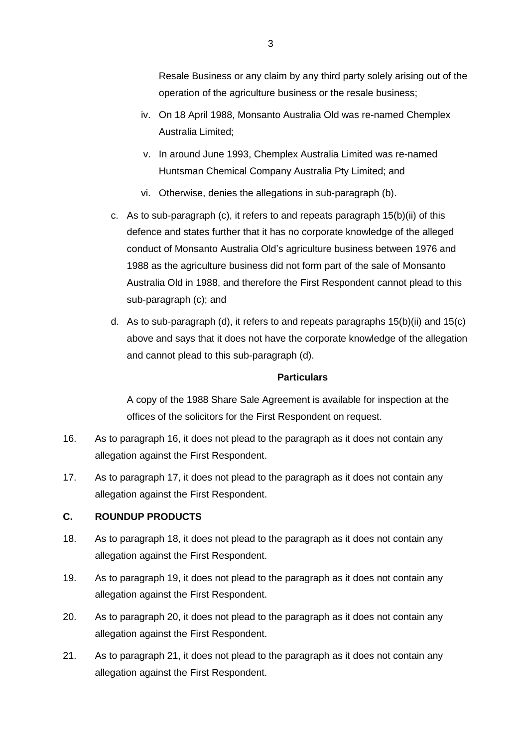- iv. On 18 April 1988, Monsanto Australia Old was re-named Chemplex Australia Limited;
- v. In around June 1993, Chemplex Australia Limited was re-named Huntsman Chemical Company Australia Pty Limited; and
- vi. Otherwise, denies the allegations in sub-paragraph (b).
- c. As to sub-paragraph (c), it refers to and repeats paragraph 15(b)(ii) of this defence and states further that it has no corporate knowledge of the alleged conduct of Monsanto Australia Old's agriculture business between 1976 and 1988 as the agriculture business did not form part of the sale of Monsanto Australia Old in 1988, and therefore the First Respondent cannot plead to this sub-paragraph (c); and
- d. As to sub-paragraph (d), it refers to and repeats paragraphs 15(b)(ii) and 15(c) above and says that it does not have the corporate knowledge of the allegation and cannot plead to this sub-paragraph (d).

# **Particulars**

A copy of the 1988 Share Sale Agreement is available for inspection at the offices of the solicitors for the First Respondent on request.

- 16. As to paragraph 16, it does not plead to the paragraph as it does not contain any allegation against the First Respondent.
- 17. As to paragraph 17, it does not plead to the paragraph as it does not contain any allegation against the First Respondent.

# **C. ROUNDUP PRODUCTS**

- 18. As to paragraph 18, it does not plead to the paragraph as it does not contain any allegation against the First Respondent.
- 19. As to paragraph 19, it does not plead to the paragraph as it does not contain any allegation against the First Respondent.
- 20. As to paragraph 20, it does not plead to the paragraph as it does not contain any allegation against the First Respondent.
- 21. As to paragraph 21, it does not plead to the paragraph as it does not contain any allegation against the First Respondent.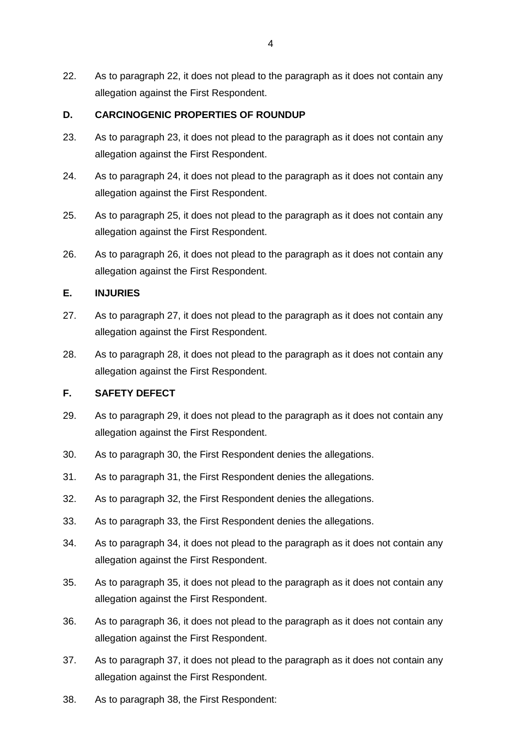22. As to paragraph 22, it does not plead to the paragraph as it does not contain any allegation against the First Respondent.

# **D. CARCINOGENIC PROPERTIES OF ROUNDUP**

- 23. As to paragraph 23, it does not plead to the paragraph as it does not contain any allegation against the First Respondent.
- 24. As to paragraph 24, it does not plead to the paragraph as it does not contain any allegation against the First Respondent.
- 25. As to paragraph 25, it does not plead to the paragraph as it does not contain any allegation against the First Respondent.
- 26. As to paragraph 26, it does not plead to the paragraph as it does not contain any allegation against the First Respondent.

# **E. INJURIES**

- 27. As to paragraph 27, it does not plead to the paragraph as it does not contain any allegation against the First Respondent.
- 28. As to paragraph 28, it does not plead to the paragraph as it does not contain any allegation against the First Respondent.

# **F. SAFETY DEFECT**

- 29. As to paragraph 29, it does not plead to the paragraph as it does not contain any allegation against the First Respondent.
- 30. As to paragraph 30, the First Respondent denies the allegations.
- 31. As to paragraph 31, the First Respondent denies the allegations.
- 32. As to paragraph 32, the First Respondent denies the allegations.
- 33. As to paragraph 33, the First Respondent denies the allegations.
- 34. As to paragraph 34, it does not plead to the paragraph as it does not contain any allegation against the First Respondent.
- 35. As to paragraph 35, it does not plead to the paragraph as it does not contain any allegation against the First Respondent.
- 36. As to paragraph 36, it does not plead to the paragraph as it does not contain any allegation against the First Respondent.
- 37. As to paragraph 37, it does not plead to the paragraph as it does not contain any allegation against the First Respondent.
- 38. As to paragraph 38, the First Respondent: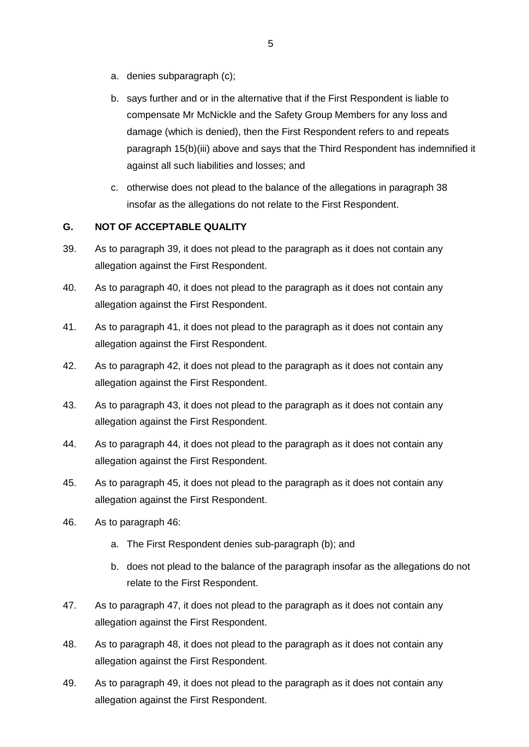- a. denies subparagraph (c);
- b. says further and or in the alternative that if the First Respondent is liable to compensate Mr McNickle and the Safety Group Members for any loss and damage (which is denied), then the First Respondent refers to and repeats paragraph 15(b)(iii) above and says that the Third Respondent has indemnified it against all such liabilities and losses; and
- c. otherwise does not plead to the balance of the allegations in paragraph 38 insofar as the allegations do not relate to the First Respondent.

# **G. NOT OF ACCEPTABLE QUALITY**

- 39. As to paragraph 39, it does not plead to the paragraph as it does not contain any allegation against the First Respondent.
- 40. As to paragraph 40, it does not plead to the paragraph as it does not contain any allegation against the First Respondent.
- 41. As to paragraph 41, it does not plead to the paragraph as it does not contain any allegation against the First Respondent.
- 42. As to paragraph 42, it does not plead to the paragraph as it does not contain any allegation against the First Respondent.
- 43. As to paragraph 43, it does not plead to the paragraph as it does not contain any allegation against the First Respondent.
- 44. As to paragraph 44, it does not plead to the paragraph as it does not contain any allegation against the First Respondent.
- 45. As to paragraph 45, it does not plead to the paragraph as it does not contain any allegation against the First Respondent.
- 46. As to paragraph 46:
	- a. The First Respondent denies sub-paragraph (b); and
	- b. does not plead to the balance of the paragraph insofar as the allegations do not relate to the First Respondent.
- 47. As to paragraph 47, it does not plead to the paragraph as it does not contain any allegation against the First Respondent.
- 48. As to paragraph 48, it does not plead to the paragraph as it does not contain any allegation against the First Respondent.
- 49. As to paragraph 49, it does not plead to the paragraph as it does not contain any allegation against the First Respondent.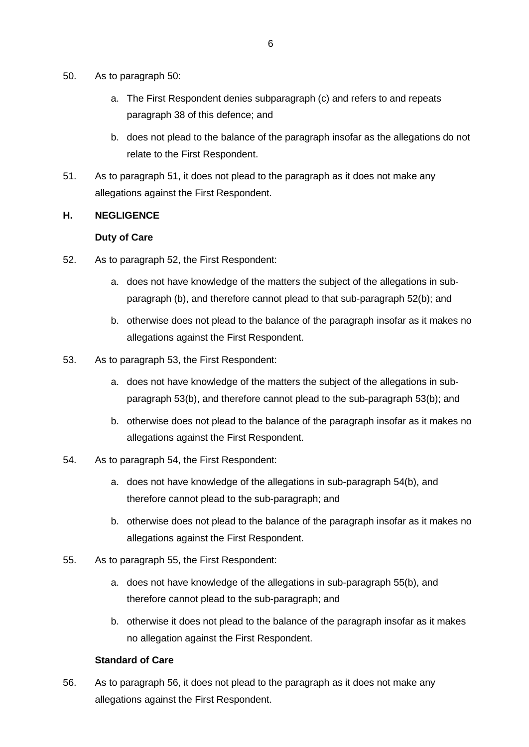- 50. As to paragraph 50:
	- a. The First Respondent denies subparagraph (c) and refers to and repeats paragraph 38 of this defence; and
	- b. does not plead to the balance of the paragraph insofar as the allegations do not relate to the First Respondent.
- 51. As to paragraph 51, it does not plead to the paragraph as it does not make any allegations against the First Respondent.

#### **H. NEGLIGENCE**

#### **Duty of Care**

- 52. As to paragraph 52, the First Respondent:
	- a. does not have knowledge of the matters the subject of the allegations in subparagraph (b), and therefore cannot plead to that sub-paragraph 52(b); and
	- b. otherwise does not plead to the balance of the paragraph insofar as it makes no allegations against the First Respondent.
- 53. As to paragraph 53, the First Respondent:
	- a. does not have knowledge of the matters the subject of the allegations in subparagraph 53(b), and therefore cannot plead to the sub-paragraph 53(b); and
	- b. otherwise does not plead to the balance of the paragraph insofar as it makes no allegations against the First Respondent.
- 54. As to paragraph 54, the First Respondent:
	- a. does not have knowledge of the allegations in sub-paragraph 54(b), and therefore cannot plead to the sub-paragraph; and
	- b. otherwise does not plead to the balance of the paragraph insofar as it makes no allegations against the First Respondent.
- 55. As to paragraph 55, the First Respondent:
	- a. does not have knowledge of the allegations in sub-paragraph 55(b), and therefore cannot plead to the sub-paragraph; and
	- b. otherwise it does not plead to the balance of the paragraph insofar as it makes no allegation against the First Respondent.

#### **Standard of Care**

56. As to paragraph 56, it does not plead to the paragraph as it does not make any allegations against the First Respondent.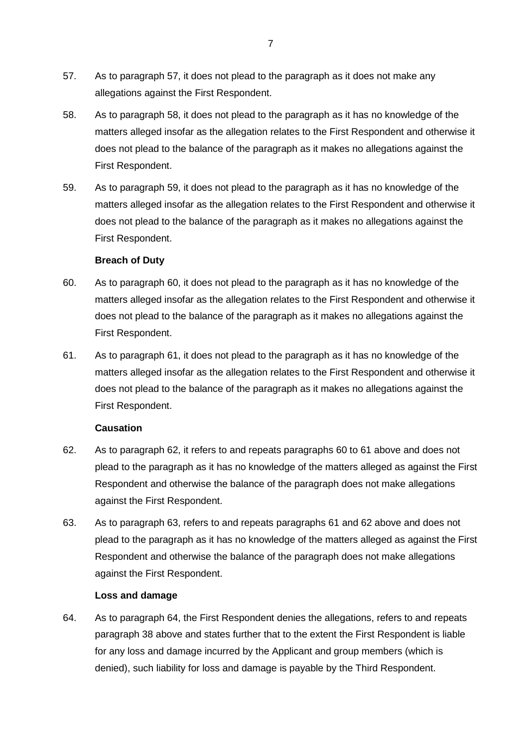- 57. As to paragraph 57, it does not plead to the paragraph as it does not make any allegations against the First Respondent.
- 58. As to paragraph 58, it does not plead to the paragraph as it has no knowledge of the matters alleged insofar as the allegation relates to the First Respondent and otherwise it does not plead to the balance of the paragraph as it makes no allegations against the First Respondent.
- 59. As to paragraph 59, it does not plead to the paragraph as it has no knowledge of the matters alleged insofar as the allegation relates to the First Respondent and otherwise it does not plead to the balance of the paragraph as it makes no allegations against the First Respondent.

#### **Breach of Duty**

- 60. As to paragraph 60, it does not plead to the paragraph as it has no knowledge of the matters alleged insofar as the allegation relates to the First Respondent and otherwise it does not plead to the balance of the paragraph as it makes no allegations against the First Respondent.
- 61. As to paragraph 61, it does not plead to the paragraph as it has no knowledge of the matters alleged insofar as the allegation relates to the First Respondent and otherwise it does not plead to the balance of the paragraph as it makes no allegations against the First Respondent.

#### **Causation**

- 62. As to paragraph 62, it refers to and repeats paragraphs 60 to 61 above and does not plead to the paragraph as it has no knowledge of the matters alleged as against the First Respondent and otherwise the balance of the paragraph does not make allegations against the First Respondent.
- 63. As to paragraph 63, refers to and repeats paragraphs 61 and 62 above and does not plead to the paragraph as it has no knowledge of the matters alleged as against the First Respondent and otherwise the balance of the paragraph does not make allegations against the First Respondent.

#### **Loss and damage**

64. As to paragraph 64, the First Respondent denies the allegations, refers to and repeats paragraph 38 above and states further that to the extent the First Respondent is liable for any loss and damage incurred by the Applicant and group members (which is denied), such liability for loss and damage is payable by the Third Respondent.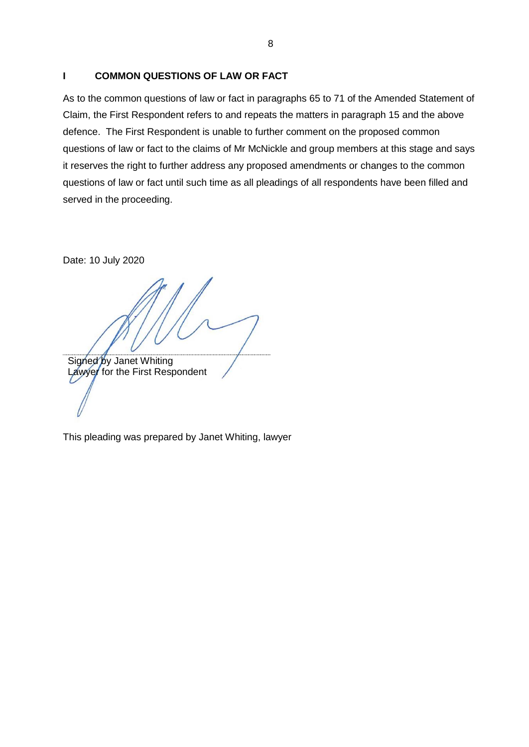### **I COMMON QUESTIONS OF LAW OR FACT**

As to the common questions of law or fact in paragraphs 65 to 71 of the Amended Statement of Claim, the First Respondent refers to and repeats the matters in paragraph 15 and the above defence. The First Respondent is unable to further comment on the proposed common questions of law or fact to the claims of Mr McNickle and group members at this stage and says it reserves the right to further address any proposed amendments or changes to the common questions of law or fact until such time as all pleadings of all respondents have been filled and served in the proceeding.

Date: 10 July 2020

Signed by Janet Whiting Lawyer for the First Respondent

This pleading was prepared by Janet Whiting, lawyer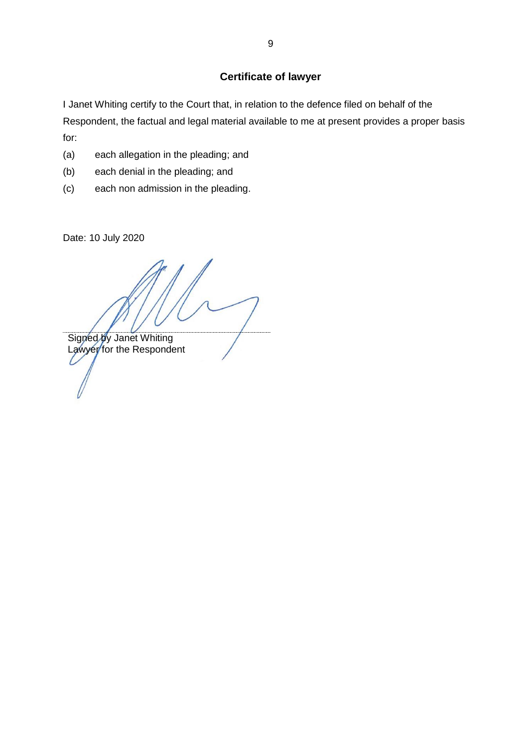# **Certificate of lawyer**

I Janet Whiting certify to the Court that, in relation to the defence filed on behalf of the Respondent, the factual and legal material available to me at present provides a proper basis for:

- (a) each allegation in the pleading; and
- (b) each denial in the pleading; and
- (c) each non admission in the pleading.

Date: 10 July 2020

Signed by Janet Whiting Lawyer for the Respondent